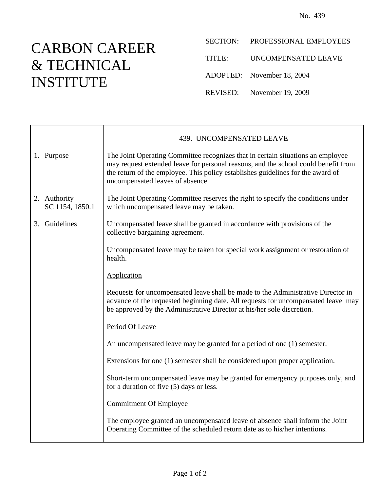## CARBON CAREER & TECHNICAL INSTITUTE

- SECTION: PROFESSIONAL EMPLOYEES
- TITLE: UNCOMPENSATED LEAVE
- ADOPTED: November 18, 2004
- REVISED: November 19, 2009

|                                 | 439. UNCOMPENSATED LEAVE                                                                                                                                                                                                                                                                     |
|---------------------------------|----------------------------------------------------------------------------------------------------------------------------------------------------------------------------------------------------------------------------------------------------------------------------------------------|
| 1. Purpose                      | The Joint Operating Committee recognizes that in certain situations an employee<br>may request extended leave for personal reasons, and the school could benefit from<br>the return of the employee. This policy establishes guidelines for the award of<br>uncompensated leaves of absence. |
| 2. Authority<br>SC 1154, 1850.1 | The Joint Operating Committee reserves the right to specify the conditions under<br>which uncompensated leave may be taken.                                                                                                                                                                  |
| 3. Guidelines                   | Uncompensated leave shall be granted in accordance with provisions of the<br>collective bargaining agreement.                                                                                                                                                                                |
|                                 | Uncompensated leave may be taken for special work assignment or restoration of<br>health.                                                                                                                                                                                                    |
|                                 | Application                                                                                                                                                                                                                                                                                  |
|                                 | Requests for uncompensated leave shall be made to the Administrative Director in<br>advance of the requested beginning date. All requests for uncompensated leave may<br>be approved by the Administrative Director at his/her sole discretion.                                              |
|                                 | Period Of Leave                                                                                                                                                                                                                                                                              |
|                                 | An uncompensated leave may be granted for a period of one (1) semester.                                                                                                                                                                                                                      |
|                                 | Extensions for one (1) semester shall be considered upon proper application.                                                                                                                                                                                                                 |
|                                 | Short-term uncompensated leave may be granted for emergency purposes only, and<br>for a duration of five (5) days or less.                                                                                                                                                                   |
|                                 | <b>Commitment Of Employee</b>                                                                                                                                                                                                                                                                |
|                                 | The employee granted an uncompensated leave of absence shall inform the Joint<br>Operating Committee of the scheduled return date as to his/her intentions.                                                                                                                                  |